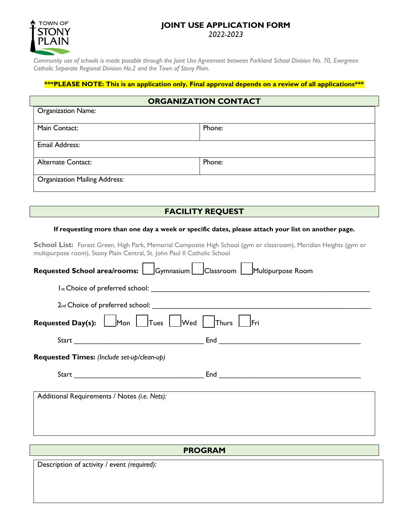### **JOINT USE APPLICATION FORM** *2022-2023*



*Community use of schools is made possible through the Joint Use Agreement between Parkland School Division No. 70, Evergreen Catholic Separate Regional Division No.2 and the Town of Stony Plain.* 

#### **\*\*\*PLEASE NOTE: This is an application only. Final approval depends on a review of all applications\*\*\***

| <b>ORGANIZATION CONTACT</b>          |        |
|--------------------------------------|--------|
| <b>Organization Name:</b>            |        |
|                                      |        |
| Main Contact:                        | Phone: |
|                                      |        |
| Email Address:                       |        |
|                                      |        |
| Alternate Contact:                   | Phone: |
| <b>Organization Mailing Address:</b> |        |

# **FACILITY REQUEST**

#### **If requesting more than one day a week or specific dates, please attach your list on another page.**

School List: Forest Green, High Park, Memorial Composite High School (gym or classroom), Meridian Heights (gym or multipurpose room), Stony Plain Central, St. John Paul II Catholic School

| Requested School area/rooms: Gymnasium Classroom Multipurpose Room |  |  |
|--------------------------------------------------------------------|--|--|
|                                                                    |  |  |
|                                                                    |  |  |
| <b>Requested Day(s):</b> Mon Tues Wed Thurs Fri                    |  |  |
|                                                                    |  |  |
| Requested Times: (Include set-up/clean-up)                         |  |  |
|                                                                    |  |  |
| Additional Requirements / Notes (i.e. Nets):                       |  |  |

## **PROGRAM**

Description of activity / event *(required):*